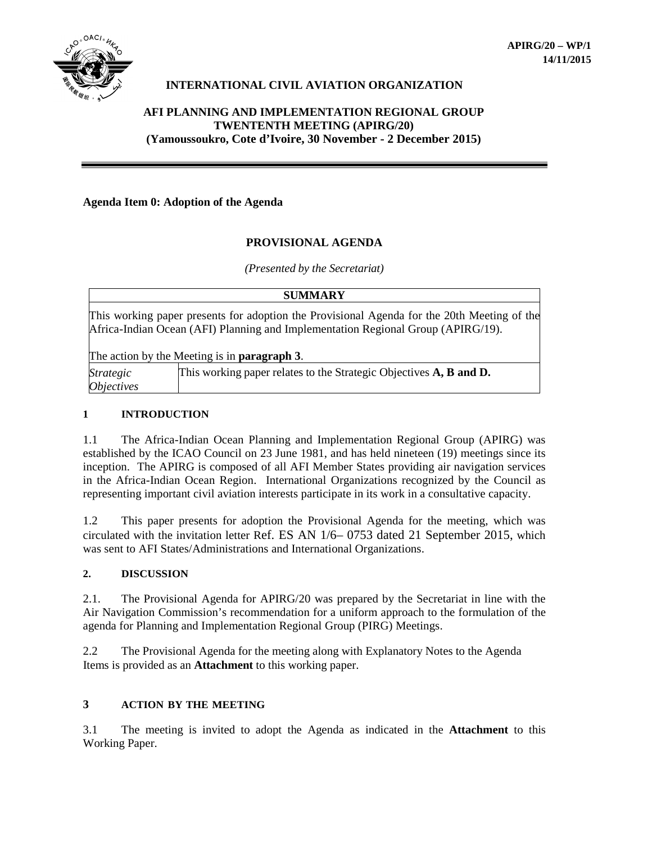

### **INTERNATIONAL CIVIL AVIATION ORGANIZATION**

### **AFI PLANNING AND IMPLEMENTATION REGIONAL GROUP TWENTENTH MEETING (APIRG/20) (Yamoussoukro, Cote d'Ivoire, 30 November - 2 December 2015)**

### **Agenda Item 0: Adoption of the Agenda**

### **PROVISIONAL AGENDA**

*(Presented by the Secretariat)*

|                          | <b>SUMMARY</b>                                                                                                                                                                                                                          |
|--------------------------|-----------------------------------------------------------------------------------------------------------------------------------------------------------------------------------------------------------------------------------------|
|                          | This working paper presents for adoption the Provisional Agenda for the 20th Meeting of the<br>Africa-Indian Ocean (AFI) Planning and Implementation Regional Group (APIRG/19).<br>The action by the Meeting is in <b>paragraph 3</b> . |
| <i>Strategic</i>         | This working paper relates to the Strategic Objectives A, B and D.                                                                                                                                                                      |
| <i><b>Objectives</b></i> |                                                                                                                                                                                                                                         |

#### **1 INTRODUCTION**

1.1 The Africa-Indian Ocean Planning and Implementation Regional Group (APIRG) was established by the ICAO Council on 23 June 1981, and has held nineteen (19) meetings since its inception. The APIRG is composed of all AFI Member States providing air navigation services in the Africa-Indian Ocean Region. International Organizations recognized by the Council as representing important civil aviation interests participate in its work in a consultative capacity.

1.2 This paper presents for adoption the Provisional Agenda for the meeting, which was circulated with the invitation letter Ref. ES AN 1/6– 0753 dated 21 September 2015, which was sent to AFI States/Administrations and International Organizations.

#### **2. DISCUSSION**

2.1. The Provisional Agenda for APIRG/20 was prepared by the Secretariat in line with the Air Navigation Commission's recommendation for a uniform approach to the formulation of the agenda for Planning and Implementation Regional Group (PIRG) Meetings.

2.2 The Provisional Agenda for the meeting along with Explanatory Notes to the Agenda Items is provided as an **Attachment** to this working paper.

### **3 ACTION BY THE MEETING**

3.1 The meeting is invited to adopt the Agenda as indicated in the **Attachment** to this Working Paper.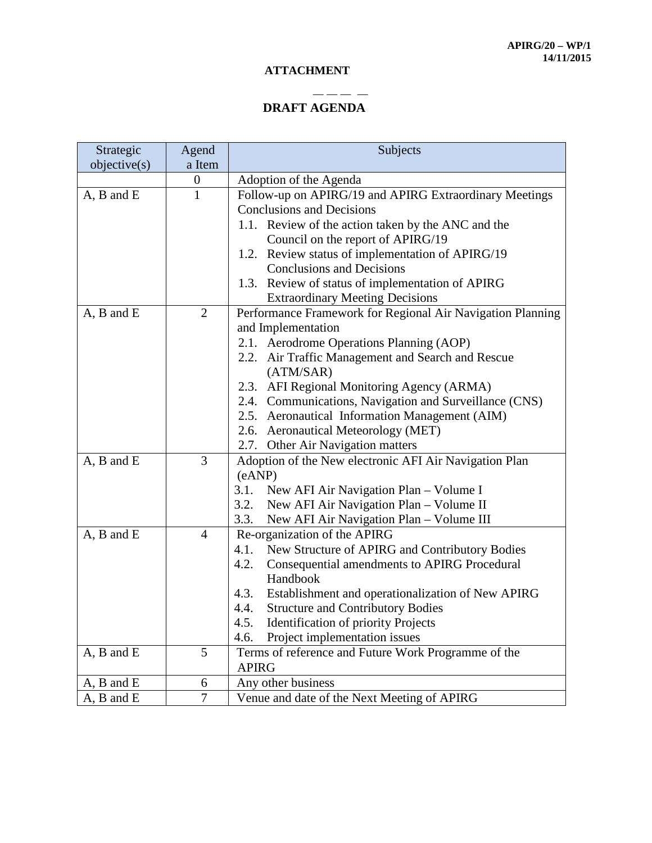### **ATTACHMENT**

# **DRAFT AGENDA**

— — — —

| Strategic         | Agend            | Subjects                                                   |
|-------------------|------------------|------------------------------------------------------------|
| objective(s)      | a Item           |                                                            |
|                   | $\boldsymbol{0}$ | Adoption of the Agenda                                     |
| A, B and E        | $\mathbf{1}$     | Follow-up on APIRG/19 and APIRG Extraordinary Meetings     |
|                   |                  | <b>Conclusions</b> and Decisions                           |
|                   |                  | 1.1. Review of the action taken by the ANC and the         |
|                   |                  | Council on the report of APIRG/19                          |
|                   |                  | 1.2. Review status of implementation of APIRG/19           |
|                   |                  | <b>Conclusions and Decisions</b>                           |
|                   |                  | 1.3. Review of status of implementation of APIRG           |
|                   |                  | <b>Extraordinary Meeting Decisions</b>                     |
| A, B and E        | $\overline{2}$   | Performance Framework for Regional Air Navigation Planning |
|                   |                  | and Implementation                                         |
|                   |                  | 2.1. Aerodrome Operations Planning (AOP)                   |
|                   |                  | 2.2. Air Traffic Management and Search and Rescue          |
|                   |                  | (ATM/SAR)                                                  |
|                   |                  | 2.3. AFI Regional Monitoring Agency (ARMA)                 |
|                   |                  | 2.4. Communications, Navigation and Surveillance (CNS)     |
|                   |                  | 2.5. Aeronautical Information Management (AIM)             |
|                   |                  | 2.6. Aeronautical Meteorology (MET)                        |
|                   |                  | 2.7. Other Air Navigation matters                          |
| A, B and E        | 3                | Adoption of the New electronic AFI Air Navigation Plan     |
|                   |                  | (eANP)                                                     |
|                   |                  | New AFI Air Navigation Plan – Volume I<br>3.1.             |
|                   |                  | 3.2.<br>New AFI Air Navigation Plan - Volume II            |
|                   |                  | 3.3.<br>New AFI Air Navigation Plan - Volume III           |
| A, B and E        | $\overline{4}$   | Re-organization of the APIRG                               |
|                   |                  | 4.1.<br>New Structure of APIRG and Contributory Bodies     |
|                   |                  | 4.2.<br>Consequential amendments to APIRG Procedural       |
|                   |                  | Handbook                                                   |
|                   |                  | 4.3.<br>Establishment and operationalization of New APIRG  |
|                   |                  | 4.4.<br><b>Structure and Contributory Bodies</b>           |
|                   |                  | 4.5.<br><b>Identification of priority Projects</b>         |
|                   |                  | Project implementation issues<br>4.6.                      |
| $A$ , $B$ and $E$ | 5                | Terms of reference and Future Work Programme of the        |
|                   |                  | <b>APIRG</b>                                               |
| A, B and E        | 6                | Any other business                                         |
| $A$ , $B$ and $E$ | $\overline{7}$   | Venue and date of the Next Meeting of APIRG                |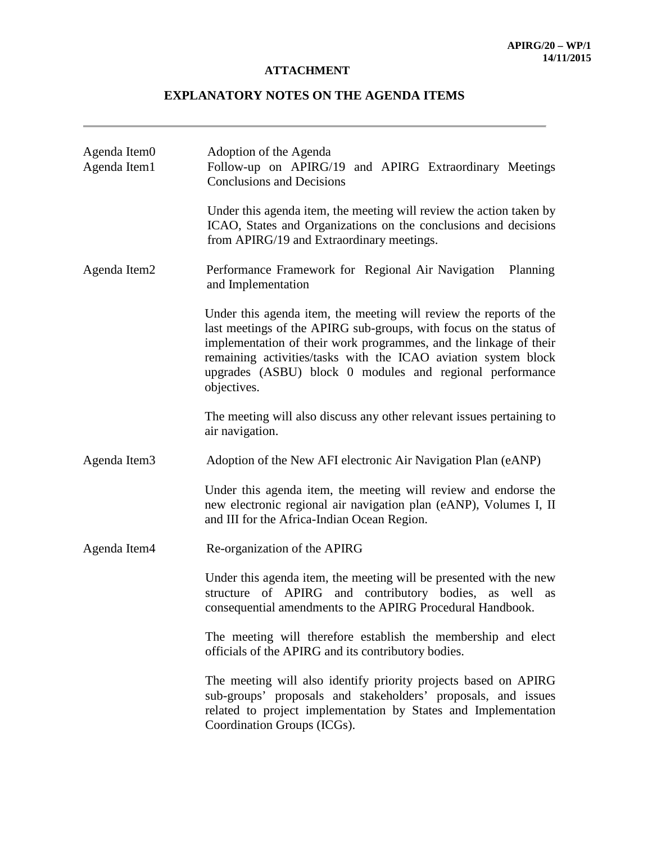# **ATTACHMENT**

# **EXPLANATORY NOTES ON THE AGENDA ITEMS**

| Agenda Item0<br>Agenda Item1 | Adoption of the Agenda<br>Follow-up on APIRG/19 and APIRG Extraordinary Meetings<br><b>Conclusions and Decisions</b>                                                                                                                                                                                                                                       |
|------------------------------|------------------------------------------------------------------------------------------------------------------------------------------------------------------------------------------------------------------------------------------------------------------------------------------------------------------------------------------------------------|
|                              | Under this agenda item, the meeting will review the action taken by<br>ICAO, States and Organizations on the conclusions and decisions<br>from APIRG/19 and Extraordinary meetings.                                                                                                                                                                        |
| Agenda Item2                 | Performance Framework for Regional Air Navigation<br>Planning<br>and Implementation                                                                                                                                                                                                                                                                        |
|                              | Under this agenda item, the meeting will review the reports of the<br>last meetings of the APIRG sub-groups, with focus on the status of<br>implementation of their work programmes, and the linkage of their<br>remaining activities/tasks with the ICAO aviation system block<br>upgrades (ASBU) block 0 modules and regional performance<br>objectives. |
|                              | The meeting will also discuss any other relevant issues pertaining to<br>air navigation.                                                                                                                                                                                                                                                                   |
| Agenda Item3                 | Adoption of the New AFI electronic Air Navigation Plan (eANP)                                                                                                                                                                                                                                                                                              |
|                              | Under this agenda item, the meeting will review and endorse the<br>new electronic regional air navigation plan (eANP), Volumes I, II<br>and III for the Africa-Indian Ocean Region.                                                                                                                                                                        |
| Agenda Item4                 | Re-organization of the APIRG                                                                                                                                                                                                                                                                                                                               |
|                              | Under this agenda item, the meeting will be presented with the new<br>structure of APIRG and contributory bodies, as well<br>as<br>consequential amendments to the APIRG Procedural Handbook.                                                                                                                                                              |
|                              | The meeting will therefore establish the membership and elect<br>officials of the APIRG and its contributory bodies.                                                                                                                                                                                                                                       |
|                              | The meeting will also identify priority projects based on APIRG<br>sub-groups' proposals and stakeholders' proposals, and issues<br>related to project implementation by States and Implementation<br>Coordination Groups (ICGs).                                                                                                                          |